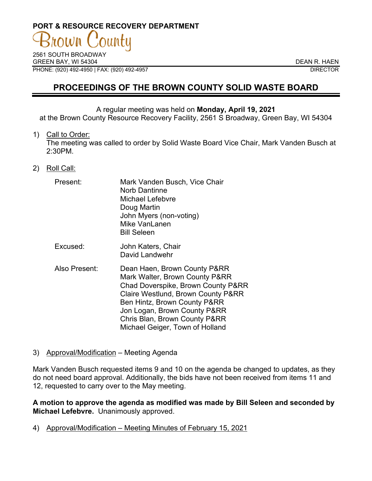# **PORT & RESOURCE RECOVERY DEPARTMENT**

2561 SOUTH BROADWAY GREEN BAY, WI 54304 DEAN R. HAEN PHONE: (920) 492-4950 | FAX: (920) 492-4957 DIRECTOR

# **PROCEEDINGS OF THE BROWN COUNTY SOLID WASTE BOARD**

#### A regular meeting was held on **Monday, April 19, 2021**

at the Brown County Resource Recovery Facility, 2561 S Broadway, Green Bay, WI 54304

#### 1) Call to Order:

The meeting was called to order by Solid Waste Board Vice Chair, Mark Vanden Busch at 2:30PM.

#### 2) Roll Call:

| Present:      | Mark Vanden Busch, Vice Chair<br><b>Norb Dantinne</b><br>Michael Lefebvre<br>Doug Martin<br>John Myers (non-voting)<br>Mike VanLanen<br><b>Bill Seleen</b>                                                                                  |
|---------------|---------------------------------------------------------------------------------------------------------------------------------------------------------------------------------------------------------------------------------------------|
| Excused:      | John Katers, Chair<br>David Landwehr                                                                                                                                                                                                        |
| Also Present: | Dean Haen, Brown County P&RR<br>Mark Walter, Brown County P&RR<br>Chad Doverspike, Brown County P&RR<br>Claire Westlund, Brown County P&RR<br>Ben Hintz, Brown County P&RR<br>Jon Logan, Brown County P&RR<br>Chris Blan, Brown County P&RR |

#### 3) Approval/Modification – Meeting Agenda

Mark Vanden Busch requested items 9 and 10 on the agenda be changed to updates, as they do not need board approval. Additionally, the bids have not been received from items 11 and 12, requested to carry over to the May meeting.

Michael Geiger, Town of Holland

**A motion to approve the agenda as modified was made by Bill Seleen and seconded by Michael Lefebvre.** Unanimously approved.

4) Approval/Modification – Meeting Minutes of February 15, 2021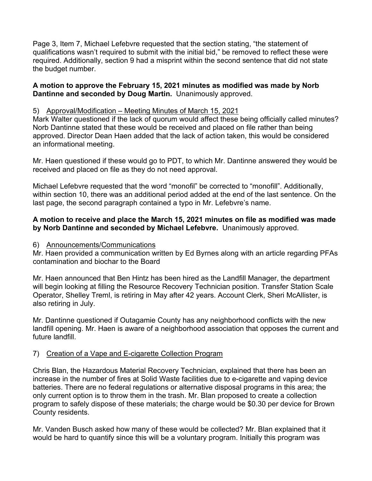Page 3, Item 7, Michael Lefebvre requested that the section stating, "the statement of qualifications wasn't required to submit with the initial bid," be removed to reflect these were required. Additionally, section 9 had a misprint within the second sentence that did not state the budget number.

#### **A motion to approve the February 15, 2021 minutes as modified was made by Norb Dantinne and seconded by Doug Martin.** Unanimously approved.

## 5) Approval/Modification – Meeting Minutes of March 15, 2021

Mark Walter questioned if the lack of quorum would affect these being officially called minutes? Norb Dantinne stated that these would be received and placed on file rather than being approved. Director Dean Haen added that the lack of action taken, this would be considered an informational meeting.

Mr. Haen questioned if these would go to PDT, to which Mr. Dantinne answered they would be received and placed on file as they do not need approval.

Michael Lefebvre requested that the word "monofil" be corrected to "monofill". Additionally, within section 10, there was an additional period added at the end of the last sentence. On the last page, the second paragraph contained a typo in Mr. Lefebvre's name.

# **A motion to receive and place the March 15, 2021 minutes on file as modified was made by Norb Dantinne and seconded by Michael Lefebvre.** Unanimously approved.

#### 6) Announcements/Communications

Mr. Haen provided a communication written by Ed Byrnes along with an article regarding PFAs contamination and biochar to the Board

Mr. Haen announced that Ben Hintz has been hired as the Landfill Manager, the department will begin looking at filling the Resource Recovery Technician position. Transfer Station Scale Operator, Shelley Treml, is retiring in May after 42 years. Account Clerk, Sheri McAllister, is also retiring in July.

Mr. Dantinne questioned if Outagamie County has any neighborhood conflicts with the new landfill opening. Mr. Haen is aware of a neighborhood association that opposes the current and future landfill.

# 7) Creation of a Vape and E-cigarette Collection Program

Chris Blan, the Hazardous Material Recovery Technician, explained that there has been an increase in the number of fires at Solid Waste facilities due to e-cigarette and vaping device batteries. There are no federal regulations or alternative disposal programs in this area; the only current option is to throw them in the trash. Mr. Blan proposed to create a collection program to safely dispose of these materials; the charge would be \$0.30 per device for Brown County residents.

Mr. Vanden Busch asked how many of these would be collected? Mr. Blan explained that it would be hard to quantify since this will be a voluntary program. Initially this program was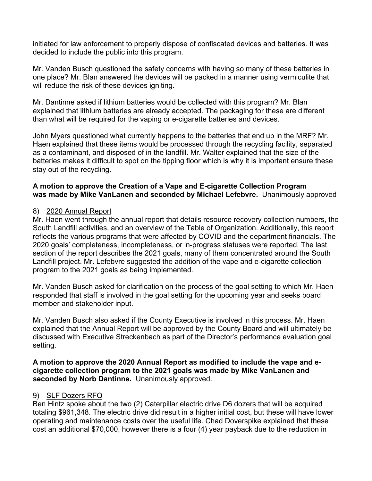initiated for law enforcement to properly dispose of confiscated devices and batteries. It was decided to include the public into this program.

Mr. Vanden Busch questioned the safety concerns with having so many of these batteries in one place? Mr. Blan answered the devices will be packed in a manner using vermiculite that will reduce the risk of these devices igniting.

Mr. Dantinne asked if lithium batteries would be collected with this program? Mr. Blan explained that lithium batteries are already accepted. The packaging for these are different than what will be required for the vaping or e-cigarette batteries and devices.

John Myers questioned what currently happens to the batteries that end up in the MRF? Mr. Haen explained that these items would be processed through the recycling facility, separated as a contaminant, and disposed of in the landfill. Mr. Walter explained that the size of the batteries makes it difficult to spot on the tipping floor which is why it is important ensure these stay out of the recycling.

## **A motion to approve the Creation of a Vape and E-cigarette Collection Program was made by Mike VanLanen and seconded by Michael Lefebvre.** Unanimously approved

## 8) 2020 Annual Report

Mr. Haen went through the annual report that details resource recovery collection numbers, the South Landfill activities, and an overview of the Table of Organization. Additionally, this report reflects the various programs that were affected by COVID and the department financials. The 2020 goals' completeness, incompleteness, or in-progress statuses were reported. The last section of the report describes the 2021 goals, many of them concentrated around the South Landfill project. Mr. Lefebvre suggested the addition of the vape and e-cigarette collection program to the 2021 goals as being implemented.

Mr. Vanden Busch asked for clarification on the process of the goal setting to which Mr. Haen responded that staff is involved in the goal setting for the upcoming year and seeks board member and stakeholder input.

Mr. Vanden Busch also asked if the County Executive is involved in this process. Mr. Haen explained that the Annual Report will be approved by the County Board and will ultimately be discussed with Executive Streckenbach as part of the Director's performance evaluation goal setting.

**A motion to approve the 2020 Annual Report as modified to include the vape and ecigarette collection program to the 2021 goals was made by Mike VanLanen and seconded by Norb Dantinne.** Unanimously approved.

#### 9) SLF Dozers RFQ

Ben Hintz spoke about the two (2) Caterpillar electric drive D6 dozers that will be acquired totaling \$961,348. The electric drive did result in a higher initial cost, but these will have lower operating and maintenance costs over the useful life. Chad Doverspike explained that these cost an additional \$70,000, however there is a four (4) year payback due to the reduction in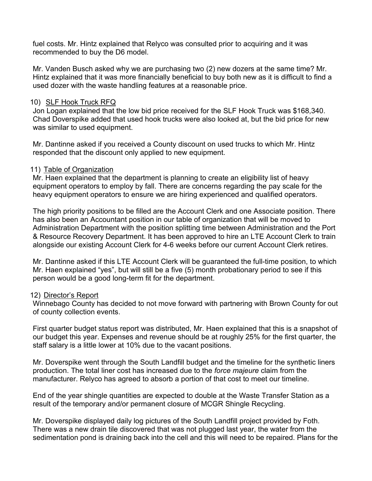fuel costs. Mr. Hintz explained that Relyco was consulted prior to acquiring and it was recommended to buy the D6 model.

Mr. Vanden Busch asked why we are purchasing two (2) new dozers at the same time? Mr. Hintz explained that it was more financially beneficial to buy both new as it is difficult to find a used dozer with the waste handling features at a reasonable price.

#### 10) SLF Hook Truck RFQ

Jon Logan explained that the low bid price received for the SLF Hook Truck was \$168,340. Chad Doverspike added that used hook trucks were also looked at, but the bid price for new was similar to used equipment.

Mr. Dantinne asked if you received a County discount on used trucks to which Mr. Hintz responded that the discount only applied to new equipment.

## 11) Table of Organization

Mr. Haen explained that the department is planning to create an eligibility list of heavy equipment operators to employ by fall. There are concerns regarding the pay scale for the heavy equipment operators to ensure we are hiring experienced and qualified operators.

The high priority positions to be filled are the Account Clerk and one Associate position. There has also been an Accountant position in our table of organization that will be moved to Administration Department with the position splitting time between Administration and the Port & Resource Recovery Department. It has been approved to hire an LTE Account Clerk to train alongside our existing Account Clerk for 4-6 weeks before our current Account Clerk retires.

Mr. Dantinne asked if this LTE Account Clerk will be guaranteed the full-time position, to which Mr. Haen explained "yes", but will still be a five (5) month probationary period to see if this person would be a good long-term fit for the department.

#### 12) Director's Report

Winnebago County has decided to not move forward with partnering with Brown County for out of county collection events.

First quarter budget status report was distributed, Mr. Haen explained that this is a snapshot of our budget this year. Expenses and revenue should be at roughly 25% for the first quarter, the staff salary is a little lower at 10% due to the vacant positions.

Mr. Doverspike went through the South Landfill budget and the timeline for the synthetic liners production. The total liner cost has increased due to the *force majeure* claim from the manufacturer. Relyco has agreed to absorb a portion of that cost to meet our timeline.

End of the year shingle quantities are expected to double at the Waste Transfer Station as a result of the temporary and/or permanent closure of MCGR Shingle Recycling.

Mr. Doverspike displayed daily log pictures of the South Landfill project provided by Foth. There was a new drain tile discovered that was not plugged last year, the water from the sedimentation pond is draining back into the cell and this will need to be repaired. Plans for the